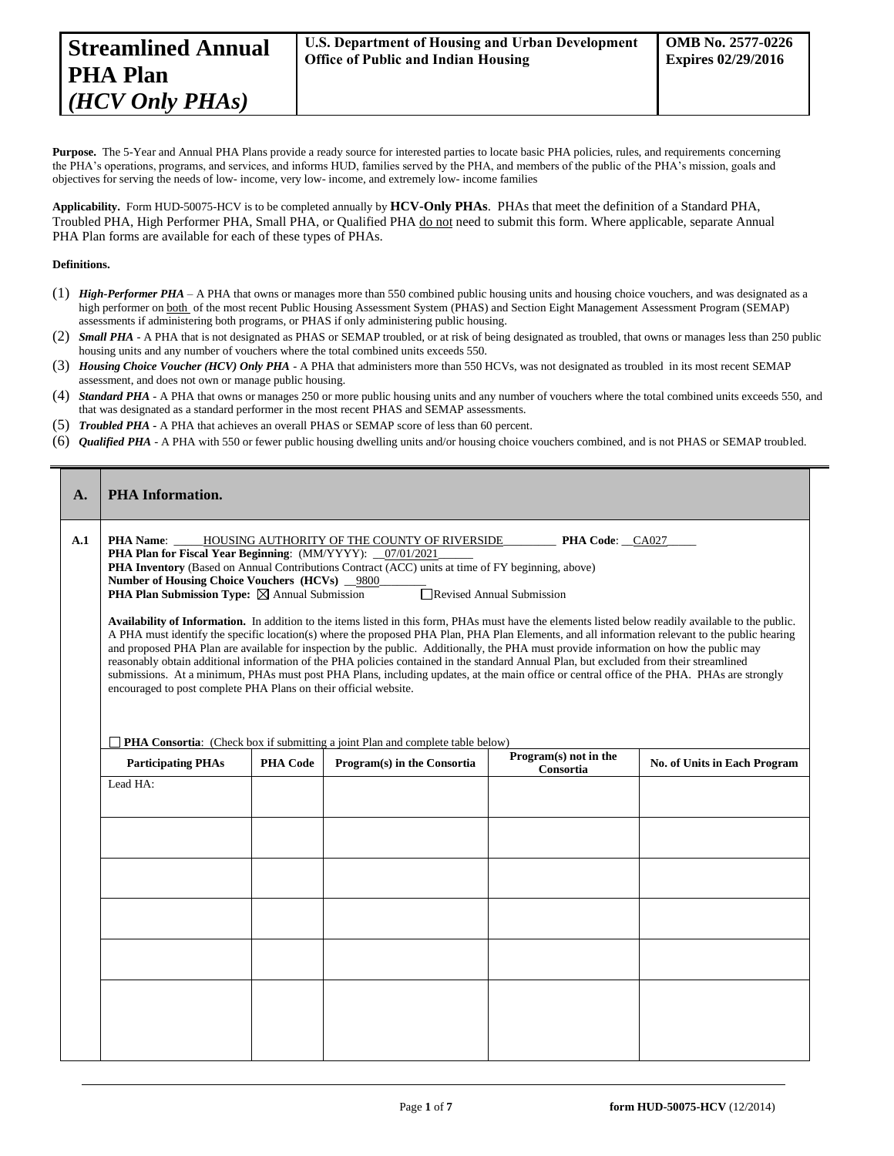Purpose. The 5-Year and Annual PHA Plans provide a ready source for interested parties to locate basic PHA policies, rules, and requirements concerning the PHA's operations, programs, and services, and informs HUD, families served by the PHA, and members of the public of the PHA's mission, goals and objectives for serving the needs of low- income, very low- income, and extremely low- income families

**Applicability.** Form HUD-50075-HCV is to be completed annually by **HCV-Only PHAs**. PHAs that meet the definition of a Standard PHA, Troubled PHA, High Performer PHA, Small PHA, or Qualified PHA do not need to submit this form. Where applicable, separate Annual PHA Plan forms are available for each of these types of PHAs.

## **Definitions.**

- (1) *High-Performer PHA* A PHA that owns or manages more than 550 combined public housing units and housing choice vouchers, and was designated as a high performer on both of the most recent Public Housing Assessment System (PHAS) and Section Eight Management Assessment Program (SEMAP) assessments if administering both programs, or PHAS if only administering public housing.
- (2) *Small PHA* A PHA that is not designated as PHAS or SEMAP troubled, or at risk of being designated as troubled, that owns or manages less than 250 public housing units and any number of vouchers where the total combined units exceeds 550.
- (3) *Housing Choice Voucher (HCV) Only PHA* A PHA that administers more than 550 HCVs, was not designated as troubled in its most recent SEMAP assessment, and does not own or manage public housing.
- (4) *Standard PHA* A PHA that owns or manages 250 or more public housing units and any number of vouchers where the total combined units exceeds 550, and that was designated as a standard performer in the most recent PHAS and SEMAP assessments.
- (5) *Troubled PHA* **-** A PHA that achieves an overall PHAS or SEMAP score of less than 60 percent.
- (6) *Qualified PHA* A PHA with 550 or fewer public housing dwelling units and/or housing choice vouchers combined, and is not PHAS or SEMAP troubled.

| A.  | <b>PHA</b> Information.                                                                                                                                                                                                                                                                                                                                                                                                                                                                                                                                                                                                                                                                                                                                                                                                                                                                                                                                                                                                                                                                                                                                                                                                         |                                                                                       |                             |                                    |                              |  |
|-----|---------------------------------------------------------------------------------------------------------------------------------------------------------------------------------------------------------------------------------------------------------------------------------------------------------------------------------------------------------------------------------------------------------------------------------------------------------------------------------------------------------------------------------------------------------------------------------------------------------------------------------------------------------------------------------------------------------------------------------------------------------------------------------------------------------------------------------------------------------------------------------------------------------------------------------------------------------------------------------------------------------------------------------------------------------------------------------------------------------------------------------------------------------------------------------------------------------------------------------|---------------------------------------------------------------------------------------|-----------------------------|------------------------------------|------------------------------|--|
| A.1 | <b>PHA Name:</b><br>PHA Code: CA027<br>HOUSING AUTHORITY OF THE COUNTY OF RIVERSIDE<br><b>PHA Plan for Fiscal Year Beginning: (MM/YYYY):</b> _07/01/2021<br>PHA Inventory (Based on Annual Contributions Contract (ACC) units at time of FY beginning, above)<br>Number of Housing Choice Vouchers (HCVs) 9800<br>Revised Annual Submission<br><b>PHA Plan Submission Type:</b> $\boxtimes$ Annual Submission<br>Availability of Information. In addition to the items listed in this form, PHAs must have the elements listed below readily available to the public.<br>A PHA must identify the specific location(s) where the proposed PHA Plan, PHA Plan Elements, and all information relevant to the public hearing<br>and proposed PHA Plan are available for inspection by the public. Additionally, the PHA must provide information on how the public may<br>reasonably obtain additional information of the PHA policies contained in the standard Annual Plan, but excluded from their streamlined<br>submissions. At a minimum, PHAs must post PHA Plans, including updates, at the main office or central office of the PHA. PHAs are strongly<br>encouraged to post complete PHA Plans on their official website. |                                                                                       |                             |                                    |                              |  |
|     |                                                                                                                                                                                                                                                                                                                                                                                                                                                                                                                                                                                                                                                                                                                                                                                                                                                                                                                                                                                                                                                                                                                                                                                                                                 | <b>PHA Consortia:</b> (Check box if submitting a joint Plan and complete table below) |                             |                                    |                              |  |
|     | <b>Participating PHAs</b>                                                                                                                                                                                                                                                                                                                                                                                                                                                                                                                                                                                                                                                                                                                                                                                                                                                                                                                                                                                                                                                                                                                                                                                                       | <b>PHA Code</b>                                                                       | Program(s) in the Consortia | Program(s) not in the<br>Consortia | No. of Units in Each Program |  |
|     | Lead HA:                                                                                                                                                                                                                                                                                                                                                                                                                                                                                                                                                                                                                                                                                                                                                                                                                                                                                                                                                                                                                                                                                                                                                                                                                        |                                                                                       |                             |                                    |                              |  |
|     |                                                                                                                                                                                                                                                                                                                                                                                                                                                                                                                                                                                                                                                                                                                                                                                                                                                                                                                                                                                                                                                                                                                                                                                                                                 |                                                                                       |                             |                                    |                              |  |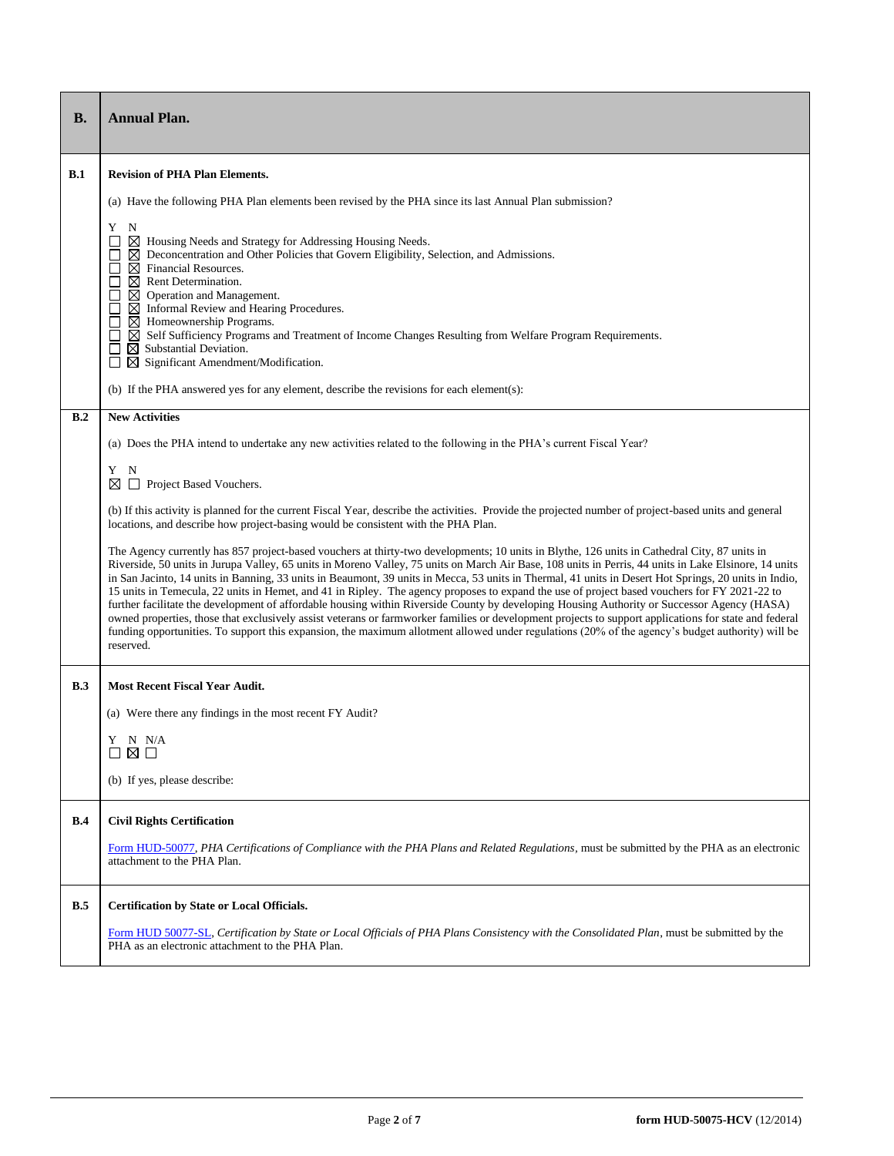| <b>B.</b> | <b>Annual Plan.</b>                                                                                                                                                                                                                                                                                                                                                                                                                                                                                                                                                                                                                                                                                                                                                                                                                                                                                                                                                                                                                                                                     |
|-----------|-----------------------------------------------------------------------------------------------------------------------------------------------------------------------------------------------------------------------------------------------------------------------------------------------------------------------------------------------------------------------------------------------------------------------------------------------------------------------------------------------------------------------------------------------------------------------------------------------------------------------------------------------------------------------------------------------------------------------------------------------------------------------------------------------------------------------------------------------------------------------------------------------------------------------------------------------------------------------------------------------------------------------------------------------------------------------------------------|
| B.1       | <b>Revision of PHA Plan Elements.</b>                                                                                                                                                                                                                                                                                                                                                                                                                                                                                                                                                                                                                                                                                                                                                                                                                                                                                                                                                                                                                                                   |
|           | (a) Have the following PHA Plan elements been revised by the PHA since its last Annual Plan submission?                                                                                                                                                                                                                                                                                                                                                                                                                                                                                                                                                                                                                                                                                                                                                                                                                                                                                                                                                                                 |
|           | Y<br>N<br>⊠<br>Housing Needs and Strategy for Addressing Housing Needs.<br>$\boxtimes$ Deconcentration and Other Policies that Govern Eligibility, Selection, and Admissions.<br>$\boxtimes$ Financial Resources.<br>$\boxtimes$ Rent Determination.<br>$\boxtimes$ Operation and Management.<br>$\boxtimes$ Informal Review and Hearing Procedures.<br>$\Box$<br>$\boxtimes$ Homeownership Programs.<br>$\Box$<br>⊠ Self Sufficiency Programs and Treatment of Income Changes Resulting from Welfare Program Requirements.<br>$\boxtimes$ Substantial Deviation.<br>$\boxtimes$ Significant Amendment/Modification.<br>(b) If the PHA answered yes for any element, describe the revisions for each element(s):                                                                                                                                                                                                                                                                                                                                                                        |
| B.2       | <b>New Activities</b>                                                                                                                                                                                                                                                                                                                                                                                                                                                                                                                                                                                                                                                                                                                                                                                                                                                                                                                                                                                                                                                                   |
|           | (a) Does the PHA intend to undertake any new activities related to the following in the PHA's current Fiscal Year?                                                                                                                                                                                                                                                                                                                                                                                                                                                                                                                                                                                                                                                                                                                                                                                                                                                                                                                                                                      |
|           | Y<br>N<br>Project Based Vouchers.<br>⊠                                                                                                                                                                                                                                                                                                                                                                                                                                                                                                                                                                                                                                                                                                                                                                                                                                                                                                                                                                                                                                                  |
|           | (b) If this activity is planned for the current Fiscal Year, describe the activities. Provide the projected number of project-based units and general<br>locations, and describe how project-basing would be consistent with the PHA Plan.                                                                                                                                                                                                                                                                                                                                                                                                                                                                                                                                                                                                                                                                                                                                                                                                                                              |
|           | The Agency currently has 857 project-based vouchers at thirty-two developments; 10 units in Blythe, 126 units in Cathedral City, 87 units in<br>Riverside, 50 units in Jurupa Valley, 65 units in Moreno Valley, 75 units on March Air Base, 108 units in Perris, 44 units in Lake Elsinore, 14 units<br>in San Jacinto, 14 units in Banning, 33 units in Beaumont, 39 units in Mecca, 53 units in Thermal, 41 units in Desert Hot Springs, 20 units in Indio,<br>15 units in Temecula, 22 units in Hemet, and 41 in Ripley. The agency proposes to expand the use of project based vouchers for FY 2021-22 to<br>further facilitate the development of affordable housing within Riverside County by developing Housing Authority or Successor Agency (HASA)<br>owned properties, those that exclusively assist veterans or farmworker families or development projects to support applications for state and federal<br>funding opportunities. To support this expansion, the maximum allotment allowed under regulations (20% of the agency's budget authority) will be<br>reserved. |
| B.3       | <b>Most Recent Fiscal Year Audit.</b>                                                                                                                                                                                                                                                                                                                                                                                                                                                                                                                                                                                                                                                                                                                                                                                                                                                                                                                                                                                                                                                   |
|           | (a) Were there any findings in the most recent FY Audit?                                                                                                                                                                                                                                                                                                                                                                                                                                                                                                                                                                                                                                                                                                                                                                                                                                                                                                                                                                                                                                |
|           | Y N N/A<br>□⊠□                                                                                                                                                                                                                                                                                                                                                                                                                                                                                                                                                                                                                                                                                                                                                                                                                                                                                                                                                                                                                                                                          |
|           | (b) If yes, please describe:                                                                                                                                                                                                                                                                                                                                                                                                                                                                                                                                                                                                                                                                                                                                                                                                                                                                                                                                                                                                                                                            |
| B.4       | <b>Civil Rights Certification</b>                                                                                                                                                                                                                                                                                                                                                                                                                                                                                                                                                                                                                                                                                                                                                                                                                                                                                                                                                                                                                                                       |
|           | Form HUD-50077, PHA Certifications of Compliance with the PHA Plans and Related Regulations, must be submitted by the PHA as an electronic<br>attachment to the PHA Plan.                                                                                                                                                                                                                                                                                                                                                                                                                                                                                                                                                                                                                                                                                                                                                                                                                                                                                                               |
| B.5       | <b>Certification by State or Local Officials.</b>                                                                                                                                                                                                                                                                                                                                                                                                                                                                                                                                                                                                                                                                                                                                                                                                                                                                                                                                                                                                                                       |
|           | Form HUD 50077-SL, Certification by State or Local Officials of PHA Plans Consistency with the Consolidated Plan, must be submitted by the<br>PHA as an electronic attachment to the PHA Plan.                                                                                                                                                                                                                                                                                                                                                                                                                                                                                                                                                                                                                                                                                                                                                                                                                                                                                          |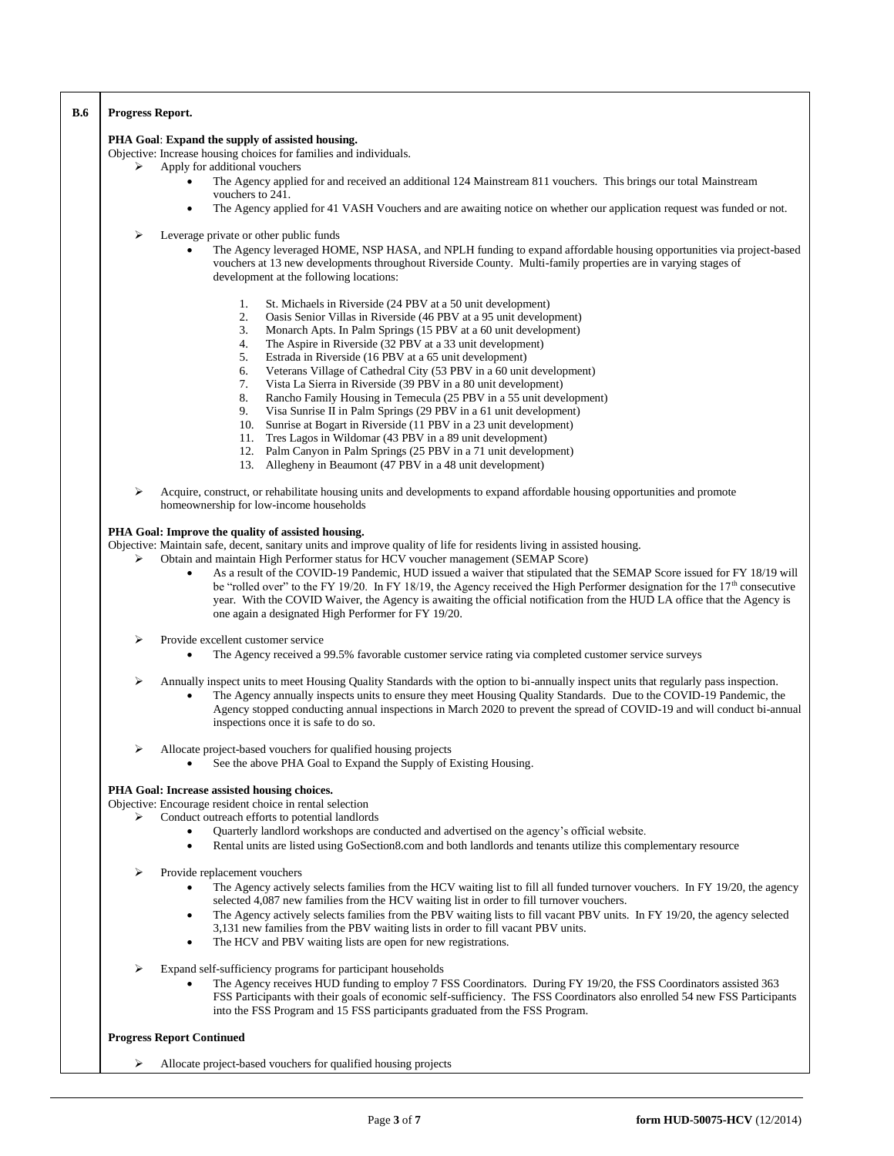| <b>B.6</b> | Progress Report.                                                                                                                                                                                                                                                                                                                                                                                                                                                 |  |  |  |
|------------|------------------------------------------------------------------------------------------------------------------------------------------------------------------------------------------------------------------------------------------------------------------------------------------------------------------------------------------------------------------------------------------------------------------------------------------------------------------|--|--|--|
|            | PHA Goal: Expand the supply of assisted housing.<br>Objective: Increase housing choices for families and individuals.                                                                                                                                                                                                                                                                                                                                            |  |  |  |
| ⋗          | Apply for additional vouchers                                                                                                                                                                                                                                                                                                                                                                                                                                    |  |  |  |
|            | The Agency applied for and received an additional 124 Mainstream 811 vouchers. This brings our total Mainstream<br>vouchers to 241.                                                                                                                                                                                                                                                                                                                              |  |  |  |
|            | The Agency applied for 41 VASH Vouchers and are awaiting notice on whether our application request was funded or not.<br>$\bullet$                                                                                                                                                                                                                                                                                                                               |  |  |  |
| ➤          | Leverage private or other public funds<br>The Agency leveraged HOME, NSP HASA, and NPLH funding to expand affordable housing opportunities via project-based<br>vouchers at 13 new developments throughout Riverside County. Multi-family properties are in varying stages of<br>development at the following locations:                                                                                                                                         |  |  |  |
|            | St. Michaels in Riverside (24 PBV at a 50 unit development)<br>1.<br>2.<br>Oasis Senior Villas in Riverside (46 PBV at a 95 unit development)<br>3.<br>Monarch Apts. In Palm Springs (15 PBV at a 60 unit development)                                                                                                                                                                                                                                           |  |  |  |
|            | 4.<br>The Aspire in Riverside (32 PBV at a 33 unit development)<br>5.<br>Estrada in Riverside (16 PBV at a 65 unit development)                                                                                                                                                                                                                                                                                                                                  |  |  |  |
|            | 6.<br>Veterans Village of Cathedral City (53 PBV in a 60 unit development)<br>7.<br>Vista La Sierra in Riverside (39 PBV in a 80 unit development)                                                                                                                                                                                                                                                                                                               |  |  |  |
|            | 8.<br>Rancho Family Housing in Temecula (25 PBV in a 55 unit development)<br>9.<br>Visa Sunrise II in Palm Springs (29 PBV in a 61 unit development)                                                                                                                                                                                                                                                                                                             |  |  |  |
|            | Sunrise at Bogart in Riverside (11 PBV in a 23 unit development)<br>10.<br>11. Tres Lagos in Wildomar (43 PBV in a 89 unit development)                                                                                                                                                                                                                                                                                                                          |  |  |  |
|            | 12. Palm Canyon in Palm Springs (25 PBV in a 71 unit development)<br>Allegheny in Beaumont (47 PBV in a 48 unit development)<br>13.                                                                                                                                                                                                                                                                                                                              |  |  |  |
| ⋗          | Acquire, construct, or rehabilitate housing units and developments to expand affordable housing opportunities and promote<br>homeownership for low-income households                                                                                                                                                                                                                                                                                             |  |  |  |
|            | PHA Goal: Improve the quality of assisted housing.                                                                                                                                                                                                                                                                                                                                                                                                               |  |  |  |
| ⋗          | Objective: Maintain safe, decent, sanitary units and improve quality of life for residents living in assisted housing.<br>Obtain and maintain High Performer status for HCV voucher management (SEMAP Score)                                                                                                                                                                                                                                                     |  |  |  |
|            | As a result of the COVID-19 Pandemic, HUD issued a waiver that stipulated that the SEMAP Score issued for FY 18/19 will<br>$\bullet$<br>be "rolled over" to the FY 19/20. In FY 18/19, the Agency received the High Performer designation for the 17 <sup>th</sup> consecutive<br>year. With the COVID Waiver, the Agency is awaiting the official notification from the HUD LA office that the Agency is<br>one again a designated High Performer for FY 19/20. |  |  |  |
| ➤          | Provide excellent customer service<br>The Agency received a 99.5% favorable customer service rating via completed customer service surveys<br>$\bullet$                                                                                                                                                                                                                                                                                                          |  |  |  |
| ⋗          | Annually inspect units to meet Housing Quality Standards with the option to bi-annually inspect units that regularly pass inspection.<br>The Agency annually inspects units to ensure they meet Housing Quality Standards. Due to the COVID-19 Pandemic, the<br>Agency stopped conducting annual inspections in March 2020 to prevent the spread of COVID-19 and will conduct bi-annual<br>inspections once it is safe to do so.                                 |  |  |  |
| ⋗          | Allocate project-based vouchers for qualified housing projects<br>See the above PHA Goal to Expand the Supply of Existing Housing.                                                                                                                                                                                                                                                                                                                               |  |  |  |
|            | PHA Goal: Increase assisted housing choices.                                                                                                                                                                                                                                                                                                                                                                                                                     |  |  |  |
| ⋗          | Objective: Encourage resident choice in rental selection<br>Conduct outreach efforts to potential landlords                                                                                                                                                                                                                                                                                                                                                      |  |  |  |
|            | Quarterly landlord workshops are conducted and advertised on the agency's official website.<br>Rental units are listed using GoSection8.com and both landlords and tenants utilize this complementary resource<br>$\bullet$                                                                                                                                                                                                                                      |  |  |  |
| ➤          | Provide replacement vouchers<br>The Agency actively selects families from the HCV waiting list to fill all funded turnover vouchers. In FY 19/20, the agency<br>selected 4,087 new families from the HCV waiting list in order to fill turnover vouchers.<br>The Agency actively selects families from the PBV waiting lists to fill vacant PBV units. In FY 19/20, the agency selected<br>$\bullet$                                                             |  |  |  |
|            | 3,131 new families from the PBV waiting lists in order to fill vacant PBV units.<br>The HCV and PBV waiting lists are open for new registrations.<br>$\bullet$                                                                                                                                                                                                                                                                                                   |  |  |  |
| ➤          | Expand self-sufficiency programs for participant households<br>The Agency receives HUD funding to employ 7 FSS Coordinators. During FY 19/20, the FSS Coordinators assisted 363<br>FSS Participants with their goals of economic self-sufficiency. The FSS Coordinators also enrolled 54 new FSS Participants<br>into the FSS Program and 15 FSS participants graduated from the FSS Program.                                                                    |  |  |  |
|            | <b>Progress Report Continued</b>                                                                                                                                                                                                                                                                                                                                                                                                                                 |  |  |  |
| ➤          | Allocate project-based vouchers for qualified housing projects                                                                                                                                                                                                                                                                                                                                                                                                   |  |  |  |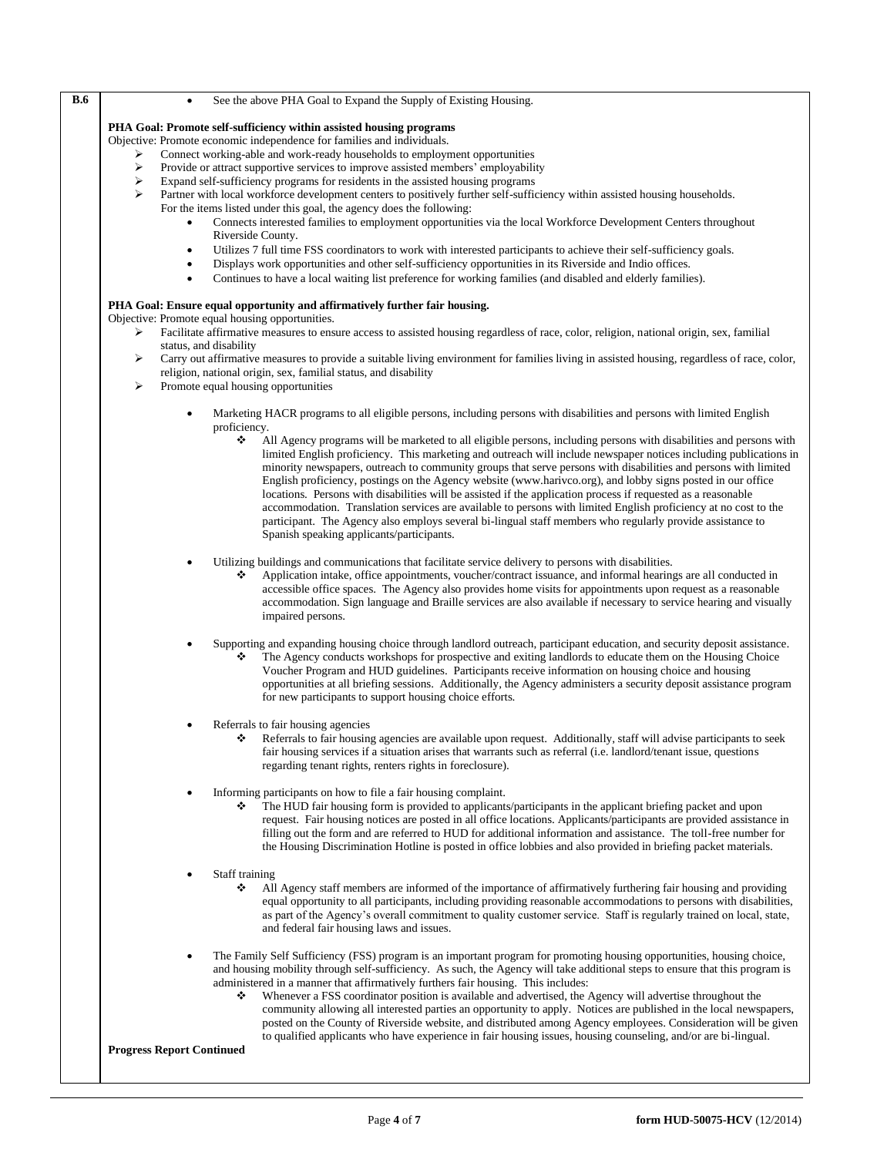| <b>B.6</b> | See the above PHA Goal to Expand the Supply of Existing Housing.<br>$\bullet$                                                                                                                                                                          |
|------------|--------------------------------------------------------------------------------------------------------------------------------------------------------------------------------------------------------------------------------------------------------|
|            | PHA Goal: Promote self-sufficiency within assisted housing programs                                                                                                                                                                                    |
|            | Objective: Promote economic independence for families and individuals.                                                                                                                                                                                 |
|            | Connect working-able and work-ready households to employment opportunities<br>➤                                                                                                                                                                        |
|            | ⋗<br>Provide or attract supportive services to improve assisted members' employability                                                                                                                                                                 |
|            | ➤<br>Expand self-sufficiency programs for residents in the assisted housing programs                                                                                                                                                                   |
|            | Partner with local workforce development centers to positively further self-sufficiency within assisted housing households.<br>⋗<br>For the items listed under this goal, the agency does the following:                                               |
|            | Connects interested families to employment opportunities via the local Workforce Development Centers throughout<br>$\bullet$                                                                                                                           |
|            | Riverside County.                                                                                                                                                                                                                                      |
|            | Utilizes 7 full time FSS coordinators to work with interested participants to achieve their self-sufficiency goals.<br>$\bullet$                                                                                                                       |
|            | Displays work opportunities and other self-sufficiency opportunities in its Riverside and Indio offices.<br>$\bullet$                                                                                                                                  |
|            | Continues to have a local waiting list preference for working families (and disabled and elderly families).<br>$\bullet$                                                                                                                               |
|            |                                                                                                                                                                                                                                                        |
|            | PHA Goal: Ensure equal opportunity and affirmatively further fair housing.                                                                                                                                                                             |
|            | Objective: Promote equal housing opportunities.                                                                                                                                                                                                        |
|            | Facilitate affirmative measures to ensure access to assisted housing regardless of race, color, religion, national origin, sex, familial<br>➤                                                                                                          |
|            | status, and disability<br>Carry out affirmative measures to provide a suitable living environment for families living in assisted housing, regardless of race, color,<br>➤                                                                             |
|            | religion, national origin, sex, familial status, and disability                                                                                                                                                                                        |
|            | ➤<br>Promote equal housing opportunities                                                                                                                                                                                                               |
|            |                                                                                                                                                                                                                                                        |
|            | Marketing HACR programs to all eligible persons, including persons with disabilities and persons with limited English<br>$\bullet$                                                                                                                     |
|            | proficiency.                                                                                                                                                                                                                                           |
|            | ❖<br>All Agency programs will be marketed to all eligible persons, including persons with disabilities and persons with                                                                                                                                |
|            | limited English proficiency. This marketing and outreach will include newspaper notices including publications in                                                                                                                                      |
|            | minority newspapers, outreach to community groups that serve persons with disabilities and persons with limited                                                                                                                                        |
|            | English proficiency, postings on the Agency website (www.harivco.org), and lobby signs posted in our office<br>locations. Persons with disabilities will be assisted if the application process if requested as a reasonable                           |
|            | accommodation. Translation services are available to persons with limited English proficiency at no cost to the                                                                                                                                        |
|            | participant. The Agency also employs several bi-lingual staff members who regularly provide assistance to                                                                                                                                              |
|            | Spanish speaking applicants/participants.                                                                                                                                                                                                              |
|            |                                                                                                                                                                                                                                                        |
|            | Utilizing buildings and communications that facilitate service delivery to persons with disabilities.                                                                                                                                                  |
|            | Application intake, office appointments, voucher/contract issuance, and informal hearings are all conducted in<br>❖                                                                                                                                    |
|            | accessible office spaces. The Agency also provides home visits for appointments upon request as a reasonable                                                                                                                                           |
|            | accommodation. Sign language and Braille services are also available if necessary to service hearing and visually                                                                                                                                      |
|            | impaired persons.                                                                                                                                                                                                                                      |
|            | Supporting and expanding housing choice through landlord outreach, participant education, and security deposit assistance.                                                                                                                             |
|            | The Agency conducts workshops for prospective and exiting landlords to educate them on the Housing Choice<br>❖                                                                                                                                         |
|            | Voucher Program and HUD guidelines. Participants receive information on housing choice and housing                                                                                                                                                     |
|            | opportunities at all briefing sessions. Additionally, the Agency administers a security deposit assistance program                                                                                                                                     |
|            | for new participants to support housing choice efforts.                                                                                                                                                                                                |
|            |                                                                                                                                                                                                                                                        |
|            | Referrals to fair housing agencies                                                                                                                                                                                                                     |
|            | Referrals to fair housing agencies are available upon request. Additionally, staff will advise participants to seek<br>❖                                                                                                                               |
|            | fair housing services if a situation arises that warrants such as referral (i.e. landlord/tenant issue, questions                                                                                                                                      |
|            | regarding tenant rights, renters rights in foreclosure).                                                                                                                                                                                               |
|            | Informing participants on how to file a fair housing complaint.<br>$\bullet$                                                                                                                                                                           |
|            | The HUD fair housing form is provided to applicants/participants in the applicant briefing packet and upon                                                                                                                                             |
|            | request. Fair housing notices are posted in all office locations. Applicants/participants are provided assistance in                                                                                                                                   |
|            | filling out the form and are referred to HUD for additional information and assistance. The toll-free number for                                                                                                                                       |
|            | the Housing Discrimination Hotline is posted in office lobbies and also provided in briefing packet materials.                                                                                                                                         |
|            |                                                                                                                                                                                                                                                        |
|            | Staff training                                                                                                                                                                                                                                         |
|            | All Agency staff members are informed of the importance of affirmatively furthering fair housing and providing<br>❖                                                                                                                                    |
|            | equal opportunity to all participants, including providing reasonable accommodations to persons with disabilities,                                                                                                                                     |
|            | as part of the Agency's overall commitment to quality customer service. Staff is regularly trained on local, state,                                                                                                                                    |
|            | and federal fair housing laws and issues.                                                                                                                                                                                                              |
|            |                                                                                                                                                                                                                                                        |
|            | The Family Self Sufficiency (FSS) program is an important program for promoting housing opportunities, housing choice,<br>and housing mobility through self-sufficiency. As such, the Agency will take additional steps to ensure that this program is |
|            | administered in a manner that affirmatively furthers fair housing. This includes:                                                                                                                                                                      |
|            | Whenever a FSS coordinator position is available and advertised, the Agency will advertise throughout the<br>❖                                                                                                                                         |
|            | community allowing all interested parties an opportunity to apply. Notices are published in the local newspapers,                                                                                                                                      |
|            | posted on the County of Riverside website, and distributed among Agency employees. Consideration will be given                                                                                                                                         |
|            | to qualified applicants who have experience in fair housing issues, housing counseling, and/or are bi-lingual.                                                                                                                                         |
|            | <b>Progress Report Continued</b>                                                                                                                                                                                                                       |
|            |                                                                                                                                                                                                                                                        |
|            |                                                                                                                                                                                                                                                        |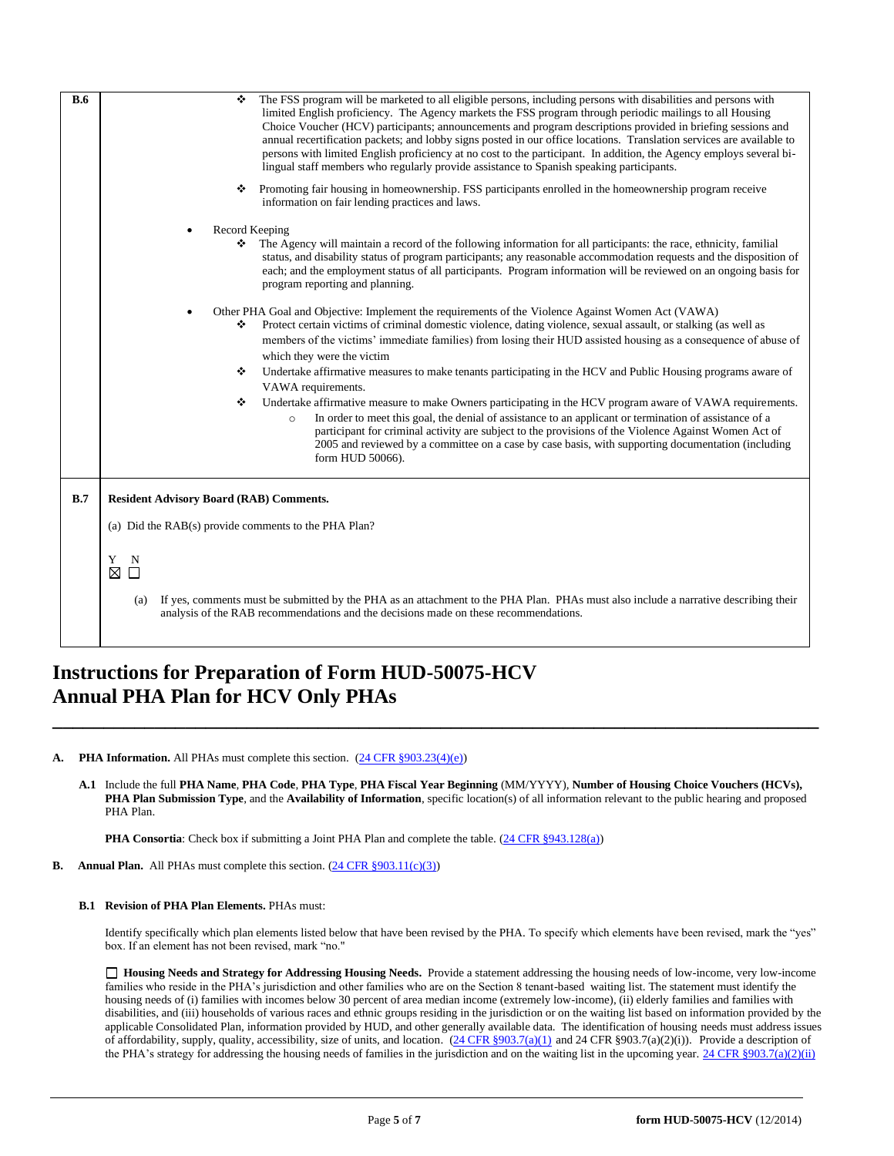| B.6 | ٠<br>The FSS program will be marketed to all eligible persons, including persons with disabilities and persons with<br>limited English proficiency. The Agency markets the FSS program through periodic mailings to all Housing<br>Choice Voucher (HCV) participants; announcements and program descriptions provided in briefing sessions and<br>annual recertification packets; and lobby signs posted in our office locations. Translation services are available to<br>persons with limited English proficiency at no cost to the participant. In addition, the Agency employs several bi-<br>lingual staff members who regularly provide assistance to Spanish speaking participants. |
|-----|--------------------------------------------------------------------------------------------------------------------------------------------------------------------------------------------------------------------------------------------------------------------------------------------------------------------------------------------------------------------------------------------------------------------------------------------------------------------------------------------------------------------------------------------------------------------------------------------------------------------------------------------------------------------------------------------|
|     | Promoting fair housing in homeownership. FSS participants enrolled in the homeownership program receive<br>❖<br>information on fair lending practices and laws.                                                                                                                                                                                                                                                                                                                                                                                                                                                                                                                            |
|     | Record Keeping<br>The Agency will maintain a record of the following information for all participants: the race, ethnicity, familial<br>❖<br>status, and disability status of program participants; any reasonable accommodation requests and the disposition of<br>each; and the employment status of all participants. Program information will be reviewed on an ongoing basis for<br>program reporting and planning.                                                                                                                                                                                                                                                                   |
|     | Other PHA Goal and Objective: Implement the requirements of the Violence Against Women Act (VAWA)<br>Protect certain victims of criminal domestic violence, dating violence, sexual assault, or stalking (as well as<br>❖<br>members of the victims' immediate families) from losing their HUD assisted housing as a consequence of abuse of<br>which they were the victim<br>Undertake affirmative measures to make tenants participating in the HCV and Public Housing programs aware of<br>❖                                                                                                                                                                                            |
|     | VAWA requirements.<br>Undertake affirmative measure to make Owners participating in the HCV program aware of VAWA requirements.<br>❖<br>In order to meet this goal, the denial of assistance to an applicant or termination of assistance of a<br>$\circ$<br>participant for criminal activity are subject to the provisions of the Violence Against Women Act of<br>2005 and reviewed by a committee on a case by case basis, with supporting documentation (including<br>form HUD 50066).                                                                                                                                                                                                |
| B.7 | <b>Resident Advisory Board (RAB) Comments.</b>                                                                                                                                                                                                                                                                                                                                                                                                                                                                                                                                                                                                                                             |
|     | (a) Did the RAB(s) provide comments to the PHA Plan?                                                                                                                                                                                                                                                                                                                                                                                                                                                                                                                                                                                                                                       |
|     | Y N<br>⊠<br>$\Box$                                                                                                                                                                                                                                                                                                                                                                                                                                                                                                                                                                                                                                                                         |
|     | If yes, comments must be submitted by the PHA as an attachment to the PHA Plan. PHAs must also include a narrative describing their<br>(a)<br>analysis of the RAB recommendations and the decisions made on these recommendations.                                                                                                                                                                                                                                                                                                                                                                                                                                                         |

## **Instructions for Preparation of Form HUD-50075-HCV Annual PHA Plan for HCV Only PHAs**

**A. PHA Information.** All PHAs must complete this section.  $(24 \text{ CFR } \text{\textless{903.23(4)(e)}})$ 

**A.1** Include the full **PHA Name**, **PHA Code**, **PHA Type**, **PHA Fiscal Year Beginning** (MM/YYYY), **Number of Housing Choice Vouchers (HCVs), PHA Plan Submission Type**, and the **Availability of Information**, specific location(s) of all information relevant to the public hearing and proposed PHA Plan.

**\_\_\_\_\_\_\_\_\_\_\_\_\_\_\_\_\_\_\_\_\_\_\_\_\_\_\_\_\_\_\_\_\_\_\_\_\_\_\_\_\_\_\_\_\_\_\_\_\_\_\_\_\_\_\_\_\_\_\_\_\_\_\_\_\_\_\_\_\_\_\_\_\_\_\_**

**PHA Consortia**: Check box if submitting a Joint PHA Plan and complete the table. [\(24 CFR §943.128\(a\)\)](http://ecfr.gpoaccess.gov/cgi/t/text/text-idx?c=ecfr&sid=cc31cf1c3a2b84ba4ead75d35d258f67&rgn=div5&view=text&node=24:4.0.3.1.10&idno=24#24:4.0.3.1.10.2.5.7)

**B.** Annual Plan. All PHAs must complete this section. [\(24 CFR §903.11\(c\)\(3\)\)](http://ecfr.gpoaccess.gov/cgi/t/text/text-idx?c=ecfr&sid=c84b8750d7c9fcd46c0c7546aeb860cf&rgn=div5&view=text&node=24:4.0.3.1.3&idno=24#24:4.0.3.1.3.2.5.8)

## **B.1 Revision of PHA Plan Elements.** PHAs must:

Identify specifically which plan elements listed below that have been revised by the PHA. To specify which elements have been revised, mark the "yes" box. If an element has not been revised, mark "no."

 **Housing Needs and Strategy for Addressing Housing Needs.** Provide a statement addressing the housing needs of low-income, very low-income families who reside in the PHA's jurisdiction and other families who are on the Section 8 tenant-based waiting list. The statement must identify the housing needs of (i) families with incomes below 30 percent of area median income (extremely low-income), (ii) elderly families and families with disabilities, and (iii) households of various races and ethnic groups residing in the jurisdiction or on the waiting list based on information provided by the applicable Consolidated Plan, information provided by HUD, and other generally available data. The identification of housing needs must address issues of affordability, supply, quality, accessibility, size of units, and location.  $(24 \text{ CFR } \text{\textless} 903.7(a)(1)$  and  $24 \text{ CFR } \text{\textless} 993.7(a)(2)(i))$ . Provide a description of the PHA's strategy for addressing the housing needs of families in the jurisdiction and on the waiting list in the upcoming year[. 24 CFR §903.7\(a\)\(2\)\(ii\)](http://ecfr.gpoaccess.gov/cgi/t/text/text-idx?c=ecfr&sid=13734845220744370804c20da2294a03&rgn=div5&view=text&node=24:4.0.3.1.3&idno=24#24:4.0.3.1.3.2.5.5)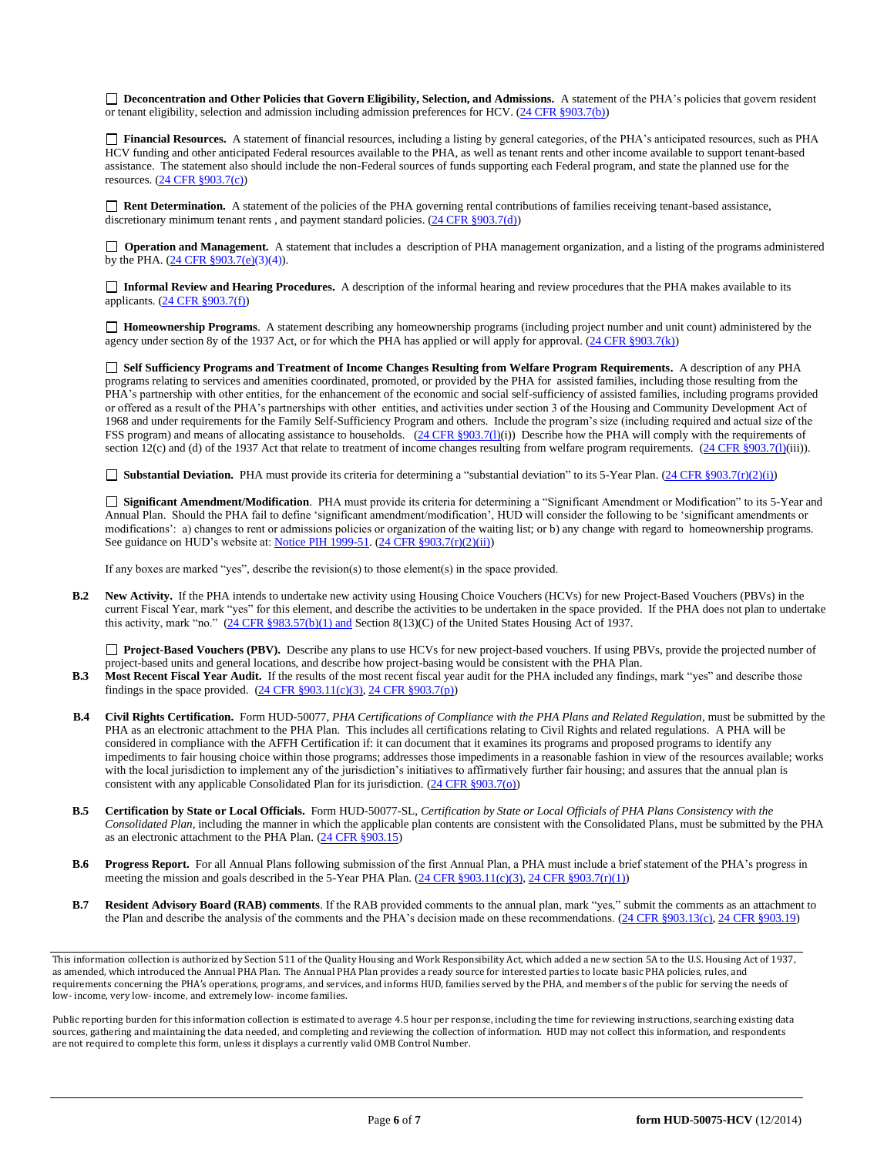□ **Deconcentration and Other Policies that Govern Eligibility, Selection, and Admissions.** A statement of the PHA's policies that govern resident or tenant eligibility, selection and admission including admission preferences for HCV. [\(24 CFR §903.7\(b\)\)](http://ecfr.gpoaccess.gov/cgi/t/text/text-idx?c=ecfr&sid=b44bf19bef93dd31287608d2c687e271&rgn=div5&view=text&node=24:4.0.3.1.3&idno=24#24:4.0.3.1.3.2.5.5)

 **Financial Resources.** A statement of financial resources, including a listing by general categories, of the PHA's anticipated resources, such as PHA HCV funding and other anticipated Federal resources available to the PHA, as well as tenant rents and other income available to support tenant-based assistance. The statement also should include the non-Federal sources of funds supporting each Federal program, and state the planned use for the resources. [\(24 CFR §903.7\(c\)\)](http://ecfr.gpoaccess.gov/cgi/t/text/text-idx?c=ecfr&sid=b44bf19bef93dd31287608d2c687e271&rgn=div5&view=text&node=24:4.0.3.1.3&idno=24)

□ Rent Determination. A statement of the policies of the PHA governing rental contributions of families receiving tenant-based assistance, discretionary minimum tenant rents , and payment standard policies. [\(24 CFR §903.7\(d\)\)](http://ecfr.gpoaccess.gov/cgi/t/text/text-idx?c=ecfr&sid=b44bf19bef93dd31287608d2c687e271&rgn=div5&view=text&node=24:4.0.3.1.3&idno=24#24:4.0.3.1.3.2.5.5)

**Operation and Management.** A statement that includes a description of PHA management organization, and a listing of the programs administered by the PHA. [\(24 CFR §903.7\(e\)\(](http://ecfr.gpoaccess.gov/cgi/t/text/text-idx?c=ecfr&sid=b44bf19bef93dd31287608d2c687e271&rgn=div5&view=text&node=24:4.0.3.1.3&idno=24#24:4.0.3.1.3.2.5.5)3)(4)).

 **Informal Review and Hearing Procedures.** A description of the informal hearing and review procedures that the PHA makes available to its applicants. [\(24 CFR §903.7\(f\)\)](http://ecfr.gpoaccess.gov/cgi/t/text/text-idx?c=ecfr&sid=b44bf19bef93dd31287608d2c687e271&rgn=div5&view=text&node=24:4.0.3.1.3&idno=24#24:4.0.3.1.3.2.5.5)

 **Homeownership Programs**. A statement describing any homeownership programs (including project number and unit count) administered by the agency under section 8y of the 1937 Act, or for which the PHA has applied or will apply for approval. [\(24 CFR §903.7\(k\)\)](http://ecfr.gpoaccess.gov/cgi/t/text/text-idx?c=ecfr&sid=b44bf19bef93dd31287608d2c687e271&rgn=div5&view=text&node=24:4.0.3.1.3&idno=24#24:4.0.3.1.3.2.5.5)

 **Self Sufficiency Programs and Treatment of Income Changes Resulting from Welfare Program Requirements.** A description of any PHA programs relating to services and amenities coordinated, promoted, or provided by the PHA for assisted families, including those resulting from the PHA's partnership with other entities, for the enhancement of the economic and social self-sufficiency of assisted families, including programs provided or offered as a result of the PHA's partnerships with other entities, and activities under section 3 of the Housing and Community Development Act of 1968 and under requirements for the Family Self-Sufficiency Program and others. Include the program's size (including required and actual size of the FSS program) and means of allocating assistance to households. [\(24 CFR §903.7\(l\)\(](http://ecfr.gpoaccess.gov/cgi/t/text/text-idx?c=ecfr&sid=b44bf19bef93dd31287608d2c687e271&rgn=div5&view=text&node=24:4.0.3.1.3&idno=24#24:4.0.3.1.3.2.5.5)i)) Describe how the PHA will comply with the requirements of section 12(c) and (d) of the 1937 Act that relate to treatment of income changes resulting from welfare program requirements.  $(24 \text{ CFR } \text{\text{S903.7(l)(iii)}})$ .

■ **Substantial Deviation.** PHA must provide its criteria for determining a "substantial deviation" to its 5-Year Plan. [\(24 CFR §903.7\(r\)\(2\)\(i\)\)](http://ecfr.gpoaccess.gov/cgi/t/text/text-idx?c=ecfr&sid=13734845220744370804c20da2294a03&rgn=div5&view=text&node=24:4.0.3.1.3&idno=24#24:4.0.3.1.3.2.5.5)

 **Significant Amendment/Modification**. PHA must provide its criteria for determining a "Significant Amendment or Modification" to its 5-Year and Annual Plan. Should the PHA fail to define 'significant amendment/modification', HUD will consider the following to be 'significant amendments or modifications': a) changes to rent or admissions policies or organization of the waiting list; or b) any change with regard to homeownership programs. See guidance on HUD's website at: [Notice PIH 1999-51.](http://portal.hud.gov/hudportal/HUD?src=/program_offices/administration/hudclips/notices/pih) [\(24 CFR §903.7\(r\)\(2\)\(ii\)\)](http://ecfr.gpoaccess.gov/cgi/t/text/text-idx?c=ecfr&sid=13734845220744370804c20da2294a03&rgn=div5&view=text&node=24:4.0.3.1.3&idno=24#24:4.0.3.1.3.2.5.5)

If any boxes are marked "yes", describe the revision(s) to those element(s) in the space provided.

**B.2 New Activity.** If the PHA intends to undertake new activity using Housing Choice Vouchers (HCVs) for new Project-Based Vouchers (PBVs) in the current Fiscal Year, mark "yes" for this element, and describe the activities to be undertaken in the space provided. If the PHA does not plan to undertake this activity, mark "no." [\(24 CFR §983.57\(b\)\(1\)](http://ecfr.gpoaccess.gov/cgi/t/text/text-idx?c=ecfr&sid=c84b8750d7c9fcd46c0c7546aeb860cf&rgn=div5&view=text&node=24:4.0.3.1.3&idno=24#24:4.0.3.1.3.2.5.7) and Section 8(13)(C) of the United States Housing Act of 1937.

 **Project-Based Vouchers (PBV).** Describe any plans to use HCVs for new project-based vouchers. If using PBVs, provide the projected number of project-based units and general locations, and describe how project-basing would be consistent with the PHA Plan.

- **B.3 Most Recent Fiscal Year Audit.** If the results of the most recent fiscal year audit for the PHA included any findings, mark "yes" and describe those findings in the space provided.  $(24 \text{ CFR } \S 903.11(c)(3), 24 \text{ CFR } \S 903.7(p))$
- **B.4 Civil Rights Certification.** Form HUD-50077, *PHA Certifications of Compliance with the PHA Plans and Related Regulation*, must be submitted by the PHA as an electronic attachment to the PHA Plan. This includes all certifications relating to Civil Rights and related regulations. A PHA will be considered in compliance with the AFFH Certification if: it can document that it examines its programs and proposed programs to identify any impediments to fair housing choice within those programs; addresses those impediments in a reasonable fashion in view of the resources available; works with the local jurisdiction to implement any of the jurisdiction's initiatives to affirmatively further fair housing; and assures that the annual plan is consistent with any applicable Consolidated Plan for its jurisdiction. [\(24 CFR §903.7\(o\)\)](http://ecfr.gpoaccess.gov/cgi/t/text/text-idx?c=ecfr&sid=13734845220744370804c20da2294a03&rgn=div5&view=text&node=24:4.0.3.1.3&idno=24#24:4.0.3.1.3.2.5.5)
- **B.5 Certification by State or Local Officials.** Form HUD-50077-SL, *Certification by State or Local Officials of PHA Plans Consistency with the Consolidated Plan,* including the manner in which the applicable plan contents are consistent with the Consolidated Plans, must be submitted by the PHA as an electronic attachment to the PHA Plan. [\(24 CFR §903.15\)](http://ecfr.gpoaccess.gov/cgi/t/text/text-idx?c=ecfr&sid=929855241bbc0873ac4be47579a4d2bf&rgn=div5&view=text&node=24:4.0.3.1.3&idno=24#24:4.0.3.1.3.2.5.10)
- **B.6 Progress Report.** For all Annual Plans following submission of the first Annual Plan, a PHA must include a brief statement of the PHA's progress in meeting the mission and goals described in the 5-Year PHA Plan.  $(24 \text{ CFR } \frac{8903.11(c)(3)}{3})$ ,  $24 \text{ CFR } \frac{8903.7(r)(1)}{3}$
- **B.7 Resident Advisory Board (RAB) comments**. If the RAB provided comments to the annual plan, mark "yes," submit the comments as an attachment to the Plan and describe the analysis of the comments and the PHA's decision made on these recommendations. [\(24 CFR §903.13\(c\),](http://ecfr.gpoaccess.gov/cgi/t/text/text-idx?c=ecfr&sid=13734845220744370804c20da2294a03&rgn=div5&view=text&node=24:4.0.3.1.3&idno=24#24:4.0.3.1.3.2.5.9) [24 CFR §903.19\)](http://ecfr.gpoaccess.gov/cgi/t/text/text-idx?c=ecfr&sid=f41eb312b1425d2a95a2478fde61e11f&rgn=div5&view=text&node=24:4.0.3.1.3&idno=24#24:4.0.3.1.3.2.5.12)

Public reporting burden for this information collection is estimated to average 4.5 hour per response, including the time for reviewing instructions, searching existing data sources, gathering and maintaining the data needed, and completing and reviewing the collection of information. HUD may not collect this information, and respondents are not required to complete this form, unless it displays a currently valid OMB Control Number.

This information collection is authorized by Section 511 of the Quality Housing and Work Responsibility Act, which added a new section 5A to the U.S. Housing Act of 1937, as amended, which introduced the Annual PHA Plan. The Annual PHA Plan provides a ready source for interested parties to locate basic PHA policies, rules, and requirements concerning the PHA's operations, programs, and services, and informs HUD, families served by the PHA, and members of the public for serving the needs of low- income, very low- income, and extremely low- income families.